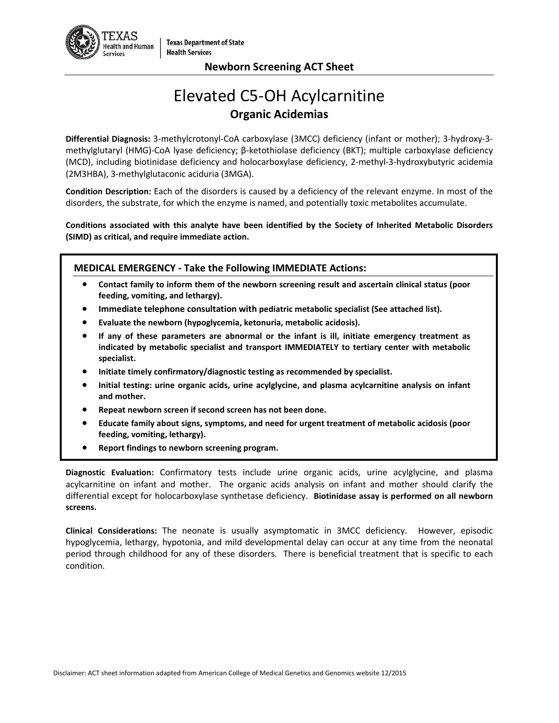

# Elevated C5-OH Acylcarnitine **Organic Acidemias**

**Differential Diagnosis:** 3-methylcrotonyl-CoA carboxylase (3MCC) deficiency (infant or mother); 3-hydroxy-3 methylglutaryl (HMG)-CoA lyase deficiency; β-ketothiolase deficiency (BKT); multiple carboxylase deficiency (MCD), including biotinidase deficiency and holocarboxylase deficiency, 2-methyl-3-hydroxybutyric acidemia (2M3HBA), 3-methylglutaconic aciduria (3MGA).

**Condition Description:** Each of the disorders is caused by a deficiency of the relevant enzyme. In most of the disorders, the substrate, for which the enzyme is named, and potentially toxic metabolites accumulate.

**Conditions associated with this analyte have been identified by the Society of Inherited Metabolic Disorders (SIMD) as critical, and require immediate action.**

## **MEDICAL EMERGENCY - Take the Following IMMEDIATE Actions:**

- **Contact family to inform them of the newborn screening result and ascertain clinical status (poor feeding, vomiting, and lethargy).**
- **Immediate telephone consultation with pediatric metabolic specialist (See attached list).**
- **Evaluate the newborn (hypoglycemia, ketonuria, metabolic acidosis).**
- **If any of these parameters are abnormal or the infant is ill, initiate emergency treatment as indicated by metabolic specialist and transport IMMEDIATELY to tertiary center with metabolic specialist.**
- **Initiate timely confirmatory/diagnostic testing as recommended by specialist.**
- **Initial testing: urine organic acids, urine acylglycine, and plasma acylcarnitine analysis on infant and mother.**
- **Repeat newborn screen if second screen has not been done.**
- **Educate family about signs, symptoms, and need for urgent treatment of metabolic acidosis (poor feeding, vomiting, lethargy).**
- **Report findings to newborn screening program.**

**Diagnostic Evaluation:** Confirmatory tests include urine organic acids, urine acylglycine, and plasma acylcarnitine on infant and mother. The organic acids analysis on infant and mother should clarify the differential except for holocarboxylase synthetase deficiency. **Biotinidase assay is performed on all newborn screens.**

**Clinical Considerations:** The neonate is usually asymptomatic in 3MCC deficiency. However, episodic hypoglycemia, lethargy, hypotonia, and mild developmental delay can occur at any time from the neonatal period through childhood for any of these disorders. There is beneficial treatment that is specific to each condition.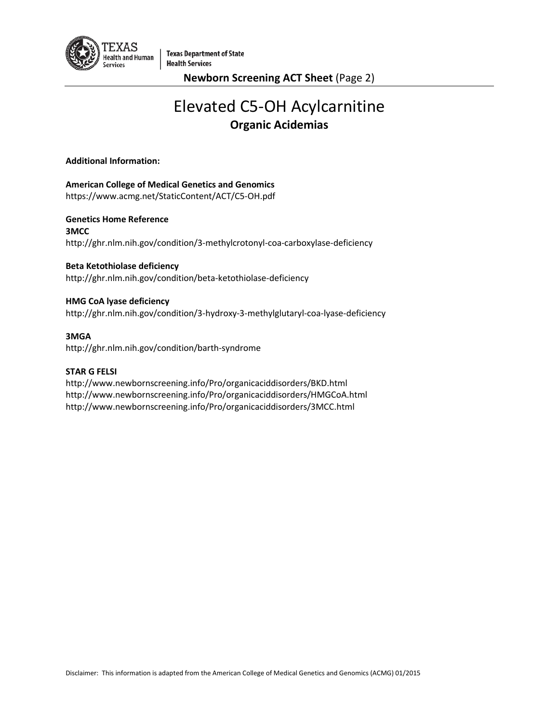

**Newborn Screening ACT Sheet** (Page 2)

# Elevated C5-OH Acylcarnitine **Organic Acidemias**

## **Additional Information:**

## **American College of Medical Genetics and Genomics**

https://www.acmg.net/StaticContent/ACT/C5-OH.pdf

**Genetics Home Reference 3MCC**  <http://ghr.nlm.nih.gov/condition/3-methylcrotonyl-coa-carboxylase-deficiency>

## **Beta Ketothiolase deficiency**

<http://ghr.nlm.nih.gov/condition/beta-ketothiolase-deficiency>

## **HMG CoA lyase deficiency**

<http://ghr.nlm.nih.gov/condition/3-hydroxy-3-methylglutaryl-coa-lyase-deficiency>

## **3MGA**

<http://ghr.nlm.nih.gov/condition/barth-syndrome>

## **STAR G FELSI**

<http://www.newbornscreening.info/Pro/organicaciddisorders/BKD.html> <http://www.newbornscreening.info/Pro/organicaciddisorders/HMGCoA.html> <http://www.newbornscreening.info/Pro/organicaciddisorders/3MCC.html>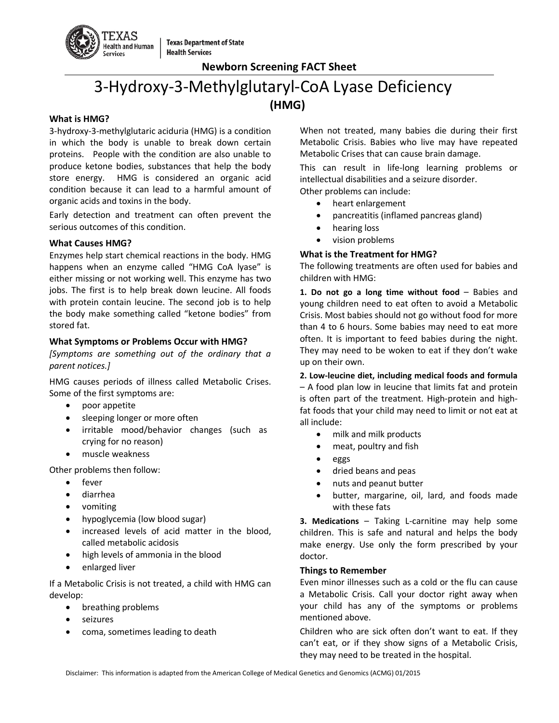

## 3-Hydroxy-3-Methylglutaryl-CoA Lyase Deficiency **(HMG)**

#### **What is HMG?**

3-hydroxy-3-methylglutaric aciduria (HMG) is a condition in which the body is unable to break down certain proteins. People with the condition are also unable to produce ketone bodies, substances that help the body store energy. HMG is considered an organic acid condition because it can lead to a harmful amount of organic acids and toxins in the body.

Early detection and treatment can often prevent the serious outcomes of this condition.

## **What Causes HMG?**

Enzymes help start chemical reactions in the body. HMG happens when an enzyme called "HMG CoA lyase" is either missing or not working well. This enzyme has two jobs. The first is to help break down leucine. All foods with protein contain leucine. The second job is to help the body make something called "ketone bodies" from stored fat.

## **What Symptoms or Problems Occur with HMG?**

*[Symptoms are something out of the ordinary that a parent notices.]*

HMG causes periods of illness called Metabolic Crises. Some of the first symptoms are:

- poor appetite
- sleeping longer or more often
- irritable mood/behavior changes (such as crying for no reason)
- muscle weakness

Other problems then follow:

- fever
- diarrhea
- vomiting
- hypoglycemia (low blood sugar)
- increased levels of acid matter in the blood, called metabolic acidosis
- high levels of ammonia in the blood
- enlarged liver

If a Metabolic Crisis is not treated, a child with HMG can develop:

- breathing problems
- **seizures**
- coma, sometimes leading to death

When not treated, many babies die during their first Metabolic Crisis. Babies who live may have repeated Metabolic Crises that can cause brain damage.

This can result in life-long learning problems or intellectual disabilities and a seizure disorder. Other problems can include:

- heart enlargement
- pancreatitis (inflamed pancreas gland)
- hearing loss
- vision problems

## **What is the Treatment for HMG?**

The following treatments are often used for babies and children with HMG:

**1. Do not go a long time without food** – Babies and young children need to eat often to avoid a Metabolic Crisis. Most babies should not go without food for more than 4 to 6 hours. Some babies may need to eat more often. It is important to feed babies during the night. They may need to be woken to eat if they don't wake up on their own.

**2. Low-leucine diet, including medical foods and formula**  – A food plan low in leucine that limits fat and protein is often part of the treatment. High-protein and highfat foods that your child may need to limit or not eat at all include:

- milk and milk products
- meat, poultry and fish
- eggs
- dried beans and peas
- nuts and peanut butter
- butter, margarine, oil, lard, and foods made with these fats

**3. Medications** – Taking L-carnitine may help some children. This is safe and natural and helps the body make energy. Use only the form prescribed by your doctor.

## **Things to Remember**

Even minor illnesses such as a cold or the flu can cause a Metabolic Crisis. Call your doctor right away when your child has any of the symptoms or problems mentioned above.

Children who are sick often don't want to eat. If they can't eat, or if they show signs of a Metabolic Crisis, they may need to be treated in the hospital.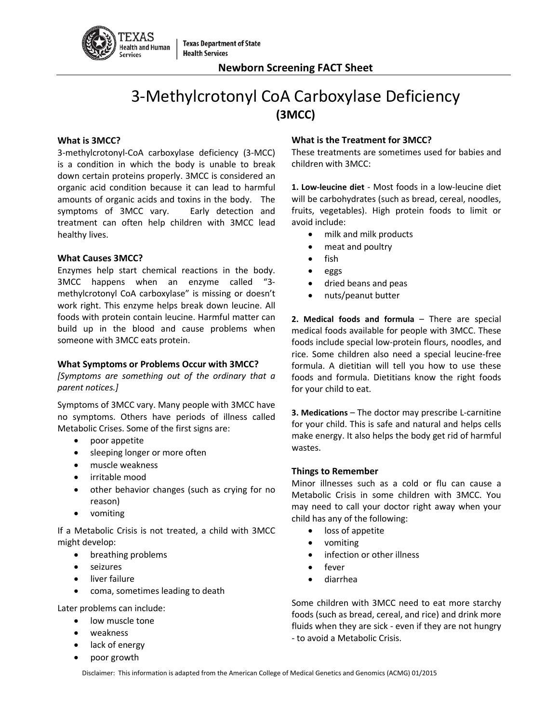

# 3-Methylcrotonyl CoA Carboxylase Deficiency **(3MCC)**

## **What is 3MCC?**

3-methylcrotonyl-CoA carboxylase deficiency (3-MCC) is a condition in which the body is unable to break down certain proteins properly. 3MCC is considered an organic acid condition because it can lead to harmful amounts of organic acids and toxins in the body. The symptoms of 3MCC vary. Early detection and treatment can often help children with 3MCC lead healthy lives.

## **What Causes 3MCC?**

Enzymes help start chemical reactions in the body. 3MCC happens when an enzyme called "3 methylcrotonyl CoA carboxylase" is missing or doesn't work right. This enzyme helps break down leucine. All foods with protein contain leucine. Harmful matter can build up in the blood and cause problems when someone with 3MCC eats protein.

## **What Symptoms or Problems Occur with 3MCC?**

*[Symptoms are something out of the ordinary that a parent notices.]*

Symptoms of 3MCC vary. Many people with 3MCC have no symptoms. Others have periods of illness called Metabolic Crises. Some of the first signs are:

- poor appetite
- sleeping longer or more often
- muscle weakness
- irritable mood
- other behavior changes (such as crying for no reason)
- vomiting

If a Metabolic Crisis is not treated, a child with 3MCC might develop:

- breathing problems
- seizures
- liver failure
- coma, sometimes leading to death

Later problems can include:

- low muscle tone
- weakness
- lack of energy
- poor growth

## **What is the Treatment for 3MCC?**

These treatments are sometimes used for babies and children with 3MCC:

**1. Low-leucine diet** - Most foods in a low-leucine diet will be carbohydrates (such as bread, cereal, noodles, fruits, vegetables). High protein foods to limit or avoid include:

- milk and milk products
- meat and poultry
- fish
- eggs
- dried beans and peas
- nuts/peanut butter

**2. Medical foods and formula** – There are special medical foods available for people with 3MCC. These foods include special low-protein flours, noodles, and rice. Some children also need a special leucine-free formula. A dietitian will tell you how to use these foods and formula. Dietitians know the right foods for your child to eat.

**3. Medications** – The doctor may prescribe L-carnitine for your child. This is safe and natural and helps cells make energy. It also helps the body get rid of harmful wastes.

## **Things to Remember**

Minor illnesses such as a cold or flu can cause a Metabolic Crisis in some children with 3MCC. You may need to call your doctor right away when your child has any of the following:

- loss of appetite
- vomiting
- infection or other illness
- fever
- diarrhea

Some children with 3MCC need to eat more starchy foods (such as bread, cereal, and rice) and drink more fluids when they are sick - even if they are not hungry - to avoid a Metabolic Crisis.

Disclaimer: This information is adapted from the American College of Medical Genetics and Genomics (ACMG) 01/2015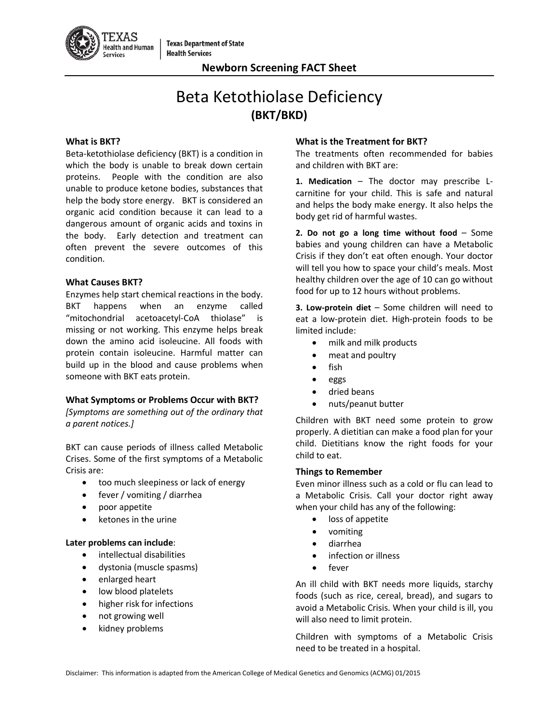

# Beta Ketothiolase Deficiency **(BKT/BKD)**

#### **What is BKT?**

Beta-ketothiolase deficiency (BKT) is a condition in which the body is unable to break down certain proteins. People with the condition are also unable to produce ketone bodies, substances that help the body store energy. BKT is considered an organic acid condition because it can lead to a dangerous amount of organic acids and toxins in the body. Early detection and treatment can often prevent the severe outcomes of this condition.

#### **What Causes BKT?**

Enzymes help start chemical reactions in the body. BKT happens when an enzyme called "mitochondrial acetoacetyl-CoA thiolase" is missing or not working. This enzyme helps break down the amino acid isoleucine. All foods with protein contain isoleucine. Harmful matter can build up in the blood and cause problems when someone with BKT eats protein.

## **What Symptoms or Problems Occur with BKT?**

*[Symptoms are something out of the ordinary that a parent notices.]*

BKT can cause periods of illness called Metabolic Crises. Some of the first symptoms of a Metabolic Crisis are:

- too much sleepiness or lack of energy
- fever / vomiting / diarrhea
- poor appetite
- ketones in the urine

## **Later problems can include**:

- intellectual disabilities
- dystonia (muscle spasms)
- enlarged heart
- low blood platelets
- higher risk for infections
- not growing well
- kidney problems

#### **What is the Treatment for BKT?**

The treatments often recommended for babies and children with BKT are:

**1. Medication** – The doctor may prescribe Lcarnitine for your child. This is safe and natural and helps the body make energy. It also helps the body get rid of harmful wastes.

**2. Do not go a long time without food** – Some babies and young children can have a Metabolic Crisis if they don't eat often enough. Your doctor will tell you how to space your child's meals. Most healthy children over the age of 10 can go without food for up to 12 hours without problems.

**3. Low-protein diet** – Some children will need to eat a low-protein diet. High-protein foods to be limited include:

- milk and milk products
- meat and poultry
- fish
- eggs
- dried beans
- nuts/peanut butter

Children with BKT need some protein to grow properly. A dietitian can make a food plan for your child. Dietitians know the right foods for your child to eat.

#### **Things to Remember**

Even minor illness such as a cold or flu can lead to a Metabolic Crisis. Call your doctor right away when your child has any of the following:

- loss of appetite
- vomiting
- diarrhea
- infection or illness
- fever

An ill child with BKT needs more liquids, starchy foods (such as rice, cereal, bread), and sugars to avoid a Metabolic Crisis. When your child is ill, you will also need to limit protein.

Children with symptoms of a Metabolic Crisis need to be treated in a hospital.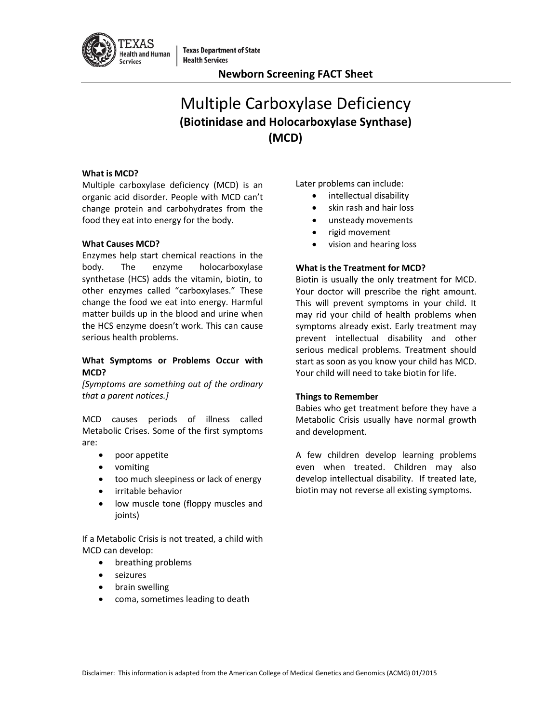

## Multiple Carboxylase Deficiency **(Biotinidase and Holocarboxylase Synthase) (MCD)**

## **What is MCD?**

Multiple carboxylase deficiency (MCD) is an organic acid disorder. People with MCD can't change protein and carbohydrates from the food they eat into energy for the body.

## **What Causes MCD?**

Enzymes help start chemical reactions in the body. The enzyme holocarboxylase synthetase (HCS) adds the vitamin, biotin, to other enzymes called "carboxylases." These change the food we eat into energy. Harmful matter builds up in the blood and urine when the HCS enzyme doesn't work. This can cause serious health problems.

## **What Symptoms or Problems Occur with MCD?**

*[Symptoms are something out of the ordinary that a parent notices.]*

MCD causes periods of illness called Metabolic Crises. Some of the first symptoms are:

- poor appetite
- vomiting
- too much sleepiness or lack of energy
- irritable behavior
- low muscle tone (floppy muscles and joints)

If a Metabolic Crisis is not treated, a child with MCD can develop:

- breathing problems
- seizures
- brain swelling
- coma, sometimes leading to death

Later problems can include:

- intellectual disability
- skin rash and hair loss
- unsteady movements
- rigid movement
- vision and hearing loss

## **What is the Treatment for MCD?**

Biotin is usually the only treatment for MCD. Your doctor will prescribe the right amount. This will prevent symptoms in your child. It may rid your child of health problems when symptoms already exist. Early treatment may prevent intellectual disability and other serious medical problems. Treatment should start as soon as you know your child has MCD. Your child will need to take biotin for life.

## **Things to Remember**

Babies who get treatment before they have a Metabolic Crisis usually have normal growth and development.

A few children develop learning problems even when treated. Children may also develop intellectual disability. If treated late, biotin may not reverse all existing symptoms.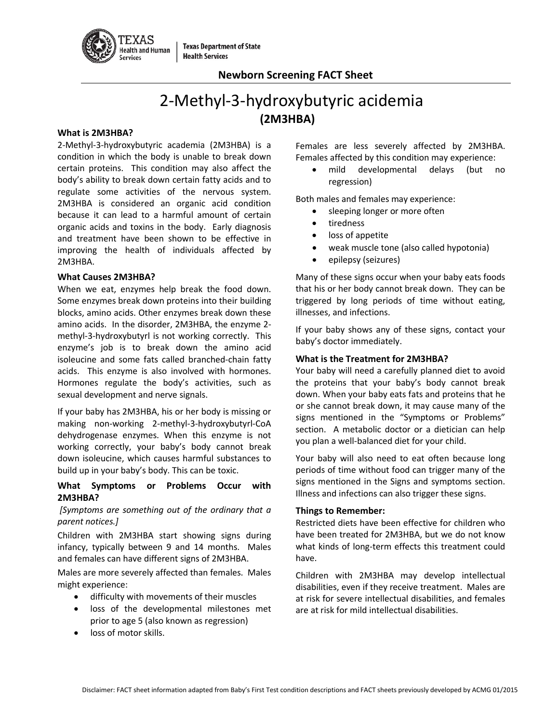

**Texas Department of State Health Services** 

## **Newborn Screening FACT Sheet**

## 2-Methyl-3-hydroxybutyric acidemia **(2M3HBA)**

## **What is 2M3HBA?**

2-Methyl-3-hydroxybutyric academia (2M3HBA) is a condition in which the body is unable to break down certain proteins. This condition may also affect the body's ability to break down certain fatty acids and to regulate some activities of the nervous system. 2M3HBA is considered an organic acid condition because it can lead to a harmful amount of certain organic acids and toxins in the body. Early diagnosis and treatment have been shown to be effective in improving the health of individuals affected by 2M3HBA.

## **What Causes 2M3HBA?**

When we eat, enzymes help break the food down. Some enzymes break down proteins into their building blocks, amino acids. Other enzymes break down these amino acids. In the disorder, 2M3HBA, the enzyme 2 methyl-3-hydroxybutyrl is not working correctly. This enzyme's job is to break down the amino acid isoleucine and some fats called branched-chain fatty acids. This enzyme is also involved with hormones. Hormones regulate the body's activities, such as sexual development and nerve signals.

If your baby has 2M3HBA, his or her body is missing or making non-working 2-methyl-3-hydroxybutyrl-CoA dehydrogenase enzymes. When this enzyme is not working correctly, your baby's body cannot break down isoleucine, which causes harmful substances to build up in your baby's body. This can be toxic.

## **What Symptoms or Problems Occur with 2M3HBA?**

## *[Symptoms are something out of the ordinary that a parent notices.]*

Children with 2M3HBA start showing signs during infancy, typically between 9 and 14 months. Males and females can have different signs of 2M3HBA.

Males are more severely affected than females. Males might experience:

- difficulty with movements of their muscles
- loss of the developmental milestones met prior to age 5 (also known as regression)
- loss of motor skills.

Females are less severely affected by 2M3HBA. Females affected by this condition may experience:

• mild developmental delays (but no regression)

Both males and females may experience:

- sleeping longer or more often
- tiredness
- loss of appetite
- weak muscle tone (also called hypotonia)
- epilepsy (seizures)

Many of these signs occur when your baby eats foods that his or her body cannot break down. They can be triggered by long periods of time without eating, illnesses, and infections.

If your baby shows any of these signs, contact your baby's doctor immediately.

## **What is the Treatment for 2M3HBA?**

Your baby will need a carefully planned diet to avoid the proteins that your baby's body cannot break down. When your baby eats fats and proteins that he or she cannot break down, it may cause many of the signs mentioned in the "Symptoms or Problems" section. A metabolic doctor or a dietician can help you plan a well-balanced diet for your child.

Your baby will also need to eat often because long periods of time without food can trigger many of the signs mentioned in the Signs and symptoms section. Illness and infections can also trigger these signs.

## **Things to Remember:**

Restricted diets have been effective for children who have been treated for 2M3HBA, but we do not know what kinds of long-term effects this treatment could have.

Children with 2M3HBA may develop intellectual disabilities, even if they receive treatment. Males are at risk for severe intellectual disabilities, and females are at risk for mild intellectual disabilities.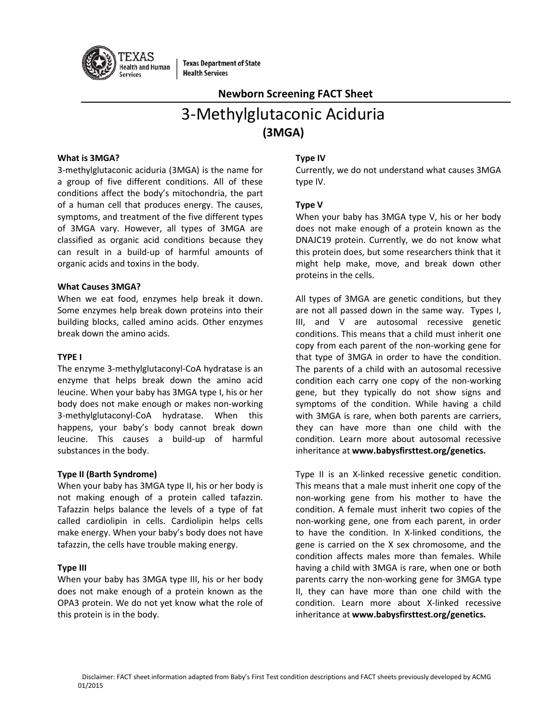

**Texas Department of State Health Services** 

## **Newborn Screening FACT Sheet**

# 3-Methylglutaconic Aciduria **(3MGA)**

#### **What is 3MGA?**

3-methylglutaconic aciduria (3MGA) is the name for a group of five different conditions. All of these conditions affect the body's mitochondria, the part of a human cell that produces energy. The causes, symptoms, and treatment of the five different types of 3MGA vary. However, all types of 3MGA are classified as organic acid conditions because they can result in a build-up of harmful amounts of organic acids and toxins in the body.

#### **What Causes 3MGA?**

When we eat food, enzymes help break it down. Some enzymes help break down proteins into their building blocks, called amino acids. Other enzymes break down the amino acids.

#### **TYPE I**

The enzyme 3-methylglutaconyl-CoA hydratase is an enzyme that helps break down the amino acid leucine. When your baby has 3MGA type I, his or her body does not make enough or makes non-working 3-methylglutaconyl-CoA hydratase. When this happens, your baby's body cannot break down leucine. This causes a build-up of harmful substances in the body.

## **Type II (Barth Syndrome)**

When your baby has 3MGA type II, his or her body is not making enough of a protein called tafazzin. Tafazzin helps balance the levels of a type of fat called cardiolipin in cells. Cardiolipin helps cells make energy. When your baby's body does not have tafazzin, the cells have trouble making energy.

## **Type III**

When your baby has 3MGA type III, his or her body does not make enough of a protein known as the OPA3 protein. We do not yet know what the role of this protein is in the body.

## **Type IV**

Currently, we do not understand what causes 3MGA type IV.

## **Type V**

When your baby has 3MGA type V, his or her body does not make enough of a protein known as the DNAJC19 protein. Currently, we do not know what this protein does, but some researchers think that it might help make, move, and break down other proteins in the cells.

All types of 3MGA are genetic conditions, but they are not all passed down in the same way. Types I, III, and V are autosomal recessive genetic conditions. This means that a child must inherit one copy from each parent of the non-working gene for that type of 3MGA in order to have the condition. The parents of a child with an autosomal recessive condition each carry one copy of the non-working gene, but they typically do not show signs and symptoms of the condition. While having a child with 3MGA is rare, when both parents are carriers, they can have more than one child with the condition. Learn more about autosomal recessive inheritance at **www.babysfirsttest.org/genetics.**

Type II is an X-linked recessive genetic condition. This means that a male must inherit one copy of the non-working gene from his mother to have the condition. A female must inherit two copies of the non-working gene, one from each parent, in order to have the condition. In X-linked conditions, the gene is carried on the X sex chromosome, and the condition affects males more than females. While having a child with 3MGA is rare, when one or both parents carry the non-working gene for 3MGA type II, they can have more than one child with the condition. Learn more about X-linked recessive inheritance at **www.babysfirsttest.org/genetics.**